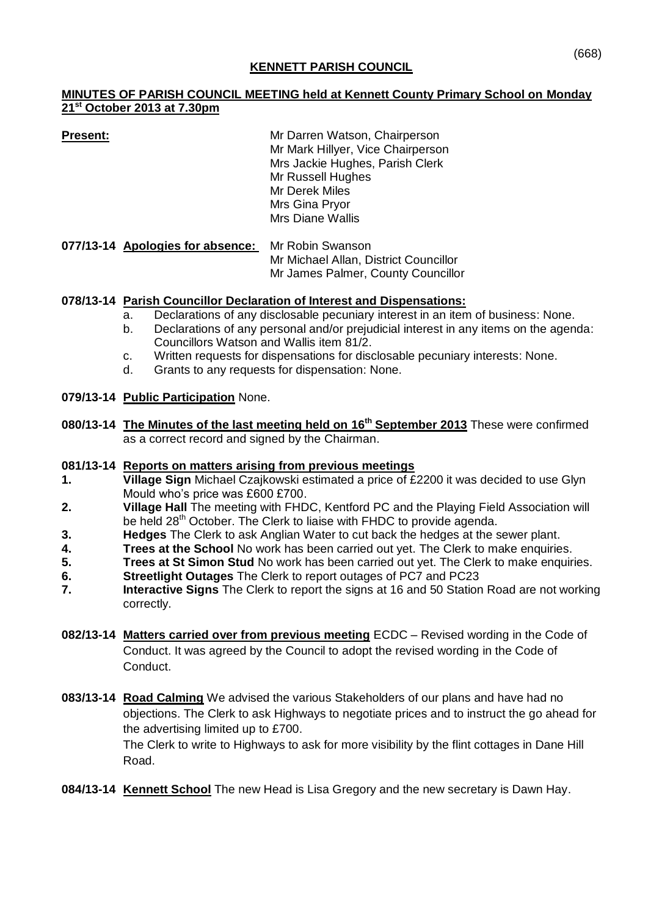## **KENNETT PARISH COUNCIL**

## **MINUTES OF PARISH COUNCIL MEETING held at Kennett County Primary School on Monday 21st October 2013 at 7.30pm**

**Present:** Mr Darren Watson, Chairperson Mr Mark Hillyer, Vice Chairperson Mrs Jackie Hughes, Parish Clerk Mr Russell Hughes Mr Derek Miles Mrs Gina Pryor Mrs Diane Wallis

**077/13-14 Apologies for absence:** Mr Robin Swanson Mr Michael Allan, District Councillor Mr James Palmer, County Councillor

# **078/13-14 Parish Councillor Declaration of Interest and Dispensations:**

- a. Declarations of any disclosable pecuniary interest in an item of business: None.
- b. Declarations of any personal and/or prejudicial interest in any items on the agenda: Councillors Watson and Wallis item 81/2.
- c. Written requests for dispensations for disclosable pecuniary interests: None.
- d. Grants to any requests for dispensation: None.

## **079/13-14 Public Participation** None.

**080/13-14 The Minutes of the last meeting held on 16th September 2013** These were confirmed as a correct record and signed by the Chairman.

### **081/13-14 Reports on matters arising from previous meetings**

- **1. Village Sign** Michael Czajkowski estimated a price of £2200 it was decided to use Glyn Mould who's price was £600 £700.
- **2. Village Hall** The meeting with FHDC, Kentford PC and the Playing Field Association will be held 28<sup>th</sup> October. The Clerk to liaise with FHDC to provide agenda.
- **3. Hedges** The Clerk to ask Anglian Water to cut back the hedges at the sewer plant.
- **4. Trees at the School** No work has been carried out yet. The Clerk to make enquiries.
- **5. Trees at St Simon Stud** No work has been carried out yet. The Clerk to make enquiries.
- **6. Streetlight Outages** The Clerk to report outages of PC7 and PC23
- **7. Interactive Signs** The Clerk to report the signs at 16 and 50 Station Road are not working correctly.
- **082/13-14 Matters carried over from previous meeting** ECDC Revised wording in the Code of Conduct. It was agreed by the Council to adopt the revised wording in the Code of Conduct.
- **083/13-14 Road Calming** We advised the various Stakeholders of our plans and have had no objections. The Clerk to ask Highways to negotiate prices and to instruct the go ahead for the advertising limited up to £700.

The Clerk to write to Highways to ask for more visibility by the flint cottages in Dane Hill Road.

**084/13-14 Kennett School** The new Head is Lisa Gregory and the new secretary is Dawn Hay.